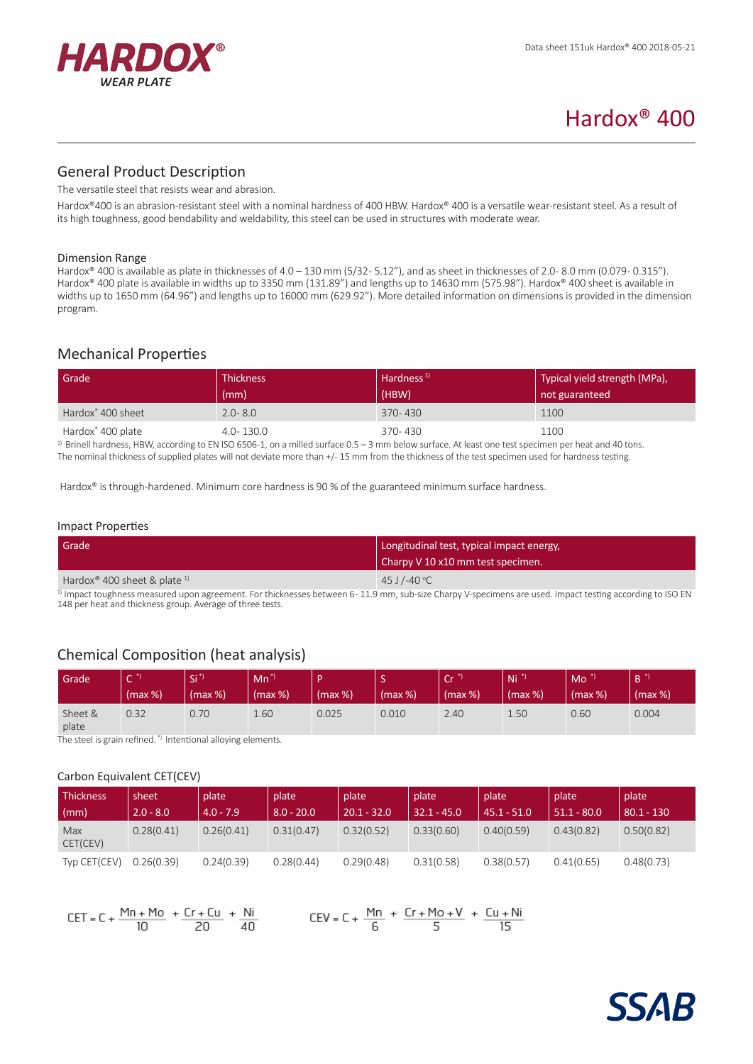

# Hardox® 400

# General Product Description

The versatile steel that resists wear and abrasion.

Hardox®400 is an abrasion-resistant steel with a nominal hardness of 400 HBW. Hardox® 400 is a versatile wear-resistant steel. As a result of its high toughness, good bendability and weldability, this steel can be used in structures with moderate wear.

#### Dimension Range

Hardox® 400 is available as plate in thicknesses of 4.0 - 130 mm (5/32-5.12"), and as sheet in thicknesses of 2.0-8.0 mm (0.079-0.315"). Hardox® 400 plate is available in widths up to 3350 mm (131.89") and lengths up to 14630 mm (575.98"). Hardox® 400 sheet is available in widths up to 1650 mm (64.96") and lengths up to 16000 mm (629.92"). More detailed information on dimensions is provided in the dimension program.

# Mechanical Properties

| Grade                         | <b>Thickness</b><br>(mm) | Hardness <sup>1)</sup><br>(HBW) | Typical yield strength (MPa),<br>not guaranteed |
|-------------------------------|--------------------------|---------------------------------|-------------------------------------------------|
| Hardox <sup>®</sup> 400 sheet | $2.0 - 8.0$              | $370 - 430$                     | 1100                                            |
| Hardox <sup>®</sup> 400 plate | $4.0 - 130.0$            | 370-430                         | 1100                                            |

<sup>1)</sup> Brinell hardness, HBW, according to EN ISO 6506-1, on a milled surface 0.5 - 3 mm below surface. At least one test specimen per heat and 40 tons. The nominal thickness of supplied plates will not deviate more than +/- 15 mm from the thickness of the test specimen used for hardness testing.

Hardox® is through-hardened. Minimum core hardness is 90 % of the guaranteed minimum surface hardness.

#### Impact Properties

| Grade                                                  | Longitudinal test, typical impact energy,<br>Charpy V 10 x10 mm test specimen. |  |  |
|--------------------------------------------------------|--------------------------------------------------------------------------------|--|--|
| Hardox <sup>®</sup> 400 sheet & plate $1$ <sup>1</sup> | 45 J /-40 °C                                                                   |  |  |

1) Impact toughness measured upon agreement. For thicknesses between 6-11.9 mm, sub-size Charpy V-specimens are used. Impact testing according to ISO EN 148 per heat and thickness group. Average of three tests.

# Chemical Composition (heat analysis)

| Grade            | $\sim$<br>(max %) | $\overline{CI}^*$<br>(max %) | $Mn^*$<br>(max %) | (max %) | -<br>(max %) | $\overline{C}$ r <sup>*</sup><br>$(max %)$ | Ni <sup>2</sup><br>$\frac{1}{2}$ (max %) | Mo<br>(max %) | R.<br>(max %) |
|------------------|-------------------|------------------------------|-------------------|---------|--------------|--------------------------------------------|------------------------------------------|---------------|---------------|
| Sheet &<br>plate | 0.32              | 0.70                         | 1.60              | 0.025   | 0.010        | 2.40                                       | 1.50                                     | 0.60          | 0.004         |

The steel is grain refined. \*) Intentional alloying elements.

#### Carbon Equivalent CET(CEV)

| <b>Thickness</b> | sheet       | plate       | plate        | plate         | plate         | plate         | plate         | plate        |
|------------------|-------------|-------------|--------------|---------------|---------------|---------------|---------------|--------------|
| $\mid$ (mm)      | $2.0 - 8.0$ | $4.0 - 7.9$ | $8.0 - 20.0$ | $20.1 - 32.0$ | $32.1 - 45.0$ | $45.1 - 51.0$ | $51.1 - 80.0$ | $80.1 - 130$ |
| Max<br>CET(CEV)  | 0.28(0.41)  | 0.26(0.41)  | 0.31(0.47)   | 0.32(0.52)    | 0.33(0.60)    | 0.40(0.59)    | 0.43(0.82)    | 0.50(0.82)   |
| Typ CET(CEV)     | 0.26(0.39)  | 0.24(0.39)  | 0.28(0.44)   | 0.29(0.48)    | 0.31(0.58)    | 0.38(0.57)    | 0.41(0.65)    | 0.48(0.73)   |



 $CEV = C + \frac{Mn}{6} + \frac{Cr + Mo + V}{5} + \frac{Cu + Ni}{15}$